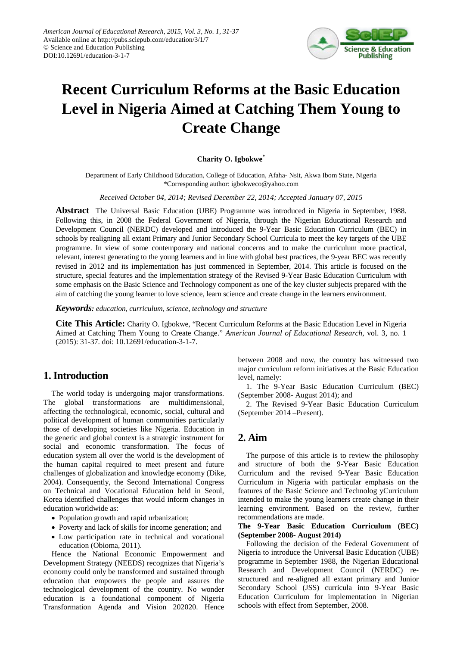

# **Recent Curriculum Reforms at the Basic Education Level in Nigeria Aimed at Catching Them Young to Create Change**

#### **Charity O. Igbokwe\***

Department of Early Childhood Education, College of Education, Afaha- Nsit, Akwa Ibom State, Nigeria \*Corresponding author: igbokweco@yahoo.com

*Received October 04, 2014; Revised December 22, 2014; Accepted January 07, 2015*

**Abstract** The Universal Basic Education (UBE) Programme was introduced in Nigeria in September, 1988. Following this, in 2008 the Federal Government of Nigeria, through the Nigerian Educational Research and Development Council (NERDC) developed and introduced the 9-Year Basic Education Curriculum (BEC) in schools by realigning all extant Primary and Junior Secondary School Curricula to meet the key targets of the UBE programme. In view of some contemporary and national concerns and to make the curriculum more practical, relevant, interest generating to the young learners and in line with global best practices, the 9-year BEC was recently revised in 2012 and its implementation has just commenced in September, 2014. This article is focused on the structure, special features and the implementation strategy of the Revised 9-Year Basic Education Curriculum with some emphasis on the Basic Science and Technology component as one of the key cluster subjects prepared with the aim of catching the young learner to love science, learn science and create change in the learners environment.

*Keywords: education, curriculum, science, technology and structure*

**Cite This Article:** Charity O. Igbokwe, "Recent Curriculum Reforms at the Basic Education Level in Nigeria Aimed at Catching Them Young to Create Change." *American Journal of Educational Research*, vol. 3, no. 1 (2015): 31-37. doi: 10.12691/education-3-1-7.

# **1. Introduction**

The world today is undergoing major transformations. The global transformations are multidimensional, affecting the technological, economic, social, cultural and political development of human communities particularly those of developing societies like Nigeria. Education in the generic and global context is a strategic instrument for social and economic transformation. The focus of education system all over the world is the development of the human capital required to meet present and future challenges of globalization and knowledge economy (Dike, 2004). Consequently, the Second International Congress on Technical and Vocational Education held in Seoul, Korea identified challenges that would inform changes in education worldwide as:

- Population growth and rapid urbanization;
- Poverty and lack of skills for income generation; and
- Low participation rate in technical and vocational education (Obioma, 2011).

Hence the National Economic Empowerment and Development Strategy (NEEDS) recognizes that Nigeria's economy could only be transformed and sustained through education that empowers the people and assures the technological development of the country. No wonder education is a foundational component of Nigeria Transformation Agenda and Vision 202020. Hence

between 2008 and now, the country has witnessed two major curriculum reform initiatives at the Basic Education level, namely:

1. The 9-Year Basic Education Curriculum (BEC) (September 2008- August 2014); and

2. The Revised 9-Year Basic Education Curriculum (September 2014 –Present).

# **2. Aim**

The purpose of this article is to review the philosophy and structure of both the 9-Year Basic Education Curriculum and the revised 9-Year Basic Education Curriculum in Nigeria with particular emphasis on the features of the Basic Science and Technolog yCurriculum intended to make the young learners create change in their learning environment. Based on the review, further recommendations are made.

**The 9-Year Basic Education Curriculum (BEC) (September 2008- August 2014)** 

Following the decision of the Federal Government of Nigeria to introduce the Universal Basic Education (UBE) programme in September 1988, the Nigerian Educational Research and Development Council (NERDC) restructured and re-aligned all extant primary and Junior Secondary School (JSS) curricula into 9-Year Basic Education Curriculum for implementation in Nigerian schools with effect from September, 2008.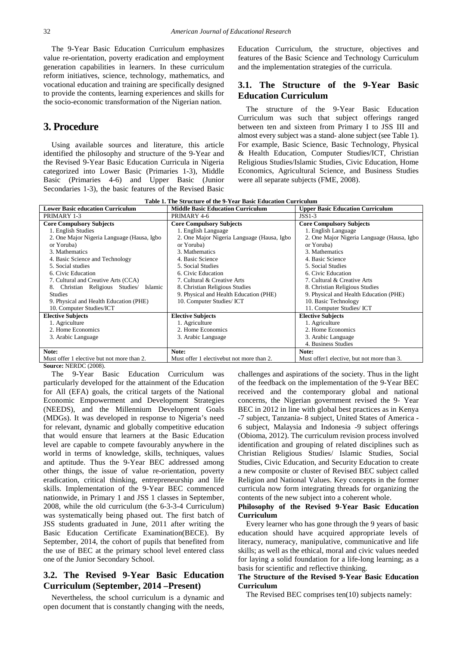The 9-Year Basic Education Curriculum emphasizes value re-orientation, poverty eradication and employment generation capabilities in learners. In these curriculum reform initiatives, science, technology, mathematics, and vocational education and training are specifically designed to provide the contents, learning experiences and skills for the socio-economic transformation of the Nigerian nation.

## **3. Procedure**

Using available sources and literature, this article identified the philosophy and structure of the 9-Year and the Revised 9-Year Basic Education Curricula in Nigeria categorized into Lower Basic (Primaries 1-3), Middle Basic (Primaries 4-6) and Upper Basic (Junior Secondaries 1-3), the basic features of the Revised Basic

Education Curriculum, the structure, objectives and features of the Basic Science and Technology Curriculum and the implementation strategies of the curricula.

## **3.1. The Structure of the 9-Year Basic Education Curriculum**

The structure of the 9-Year Basic Education Curriculum was such that subject offerings ranged between ten and sixteen from Primary I to JSS III and almost every subject was a stand- alone subject (see Table 1). For example, Basic Science, Basic Technology, Physical & Health Education, Computer Studies/ICT, Christian Religious Studies/Islamic Studies, Civic Education, Home Economics, Agricultural Science, and Business Studies were all separate subjects (FME, 2008).

**Table 1. The Structure of the 9-Year Basic Education Curriculum**

| <b>Lower Basic education Curriculum</b>    | <b>Middle Basic Education Curriculum</b>   | <b>Upper Basic Education Curriculum</b>    |
|--------------------------------------------|--------------------------------------------|--------------------------------------------|
| PRIMARY 1-3                                | PRIMARY 4-6                                | $JSS1-3$                                   |
| <b>Core Compulsory Subjects</b>            | <b>Core Compulsory Subjects</b>            | <b>Core Compulsory Subjects</b>            |
| 1. English Studies                         | 1. English Language                        | 1. English Language                        |
| 2. One Major Nigeria Language (Hausa, Igbo | 2. One Major Nigeria Language (Hausa, Igbo | 2. One Major Nigeria Language (Hausa, Igbo |
| or Yoruba)                                 | or Yoruba)                                 | or Yoruba)                                 |
| 3. Mathematics                             | 3. Mathematics                             | 3. Mathematics                             |
| 4. Basic Science and Technology            | 4. Basic Science                           | 4. Basic Science                           |
| 5. Social studies                          | 5. Social Studies                          | 5. Social Studies                          |
| 6. Civic Education                         | 6. Civic Education                         | 6. Civic Education                         |
| 7. Cultural and Creative Arts (CCA)        | 7. Cultural & Creative Arts                | 7. Cultural & Creative Arts                |
| Christian Religious Studies/<br>Islamic    | 8. Christian Religious Studies             | 8. Christian Religious Studies             |
| <b>Studies</b>                             | 9. Physical and Health Education (PHE)     | 9. Physical and Health Education (PHE)     |
| 9. Physical and Health Education (PHE)     | 10. Computer Studies/ ICT                  | 10. Basic Technology                       |
| 10. Computer Studies/ICT                   |                                            | 11. Computer Studies/ ICT                  |
| <b>Elective Subjects</b>                   | <b>Elective Subjects</b>                   | <b>Elective Subjects</b>                   |
| 1. Agriculture                             | 1. Agriculture                             | 1. Agriculture                             |
| 2. Home Economics                          | 2. Home Economics                          | 2. Home Economics                          |
| 3. Arabic Language                         | 3. Arabic Language                         | 3. Arabic Language                         |
|                                            |                                            | 4. Business Studies                        |
| Note:                                      | Note:                                      | Note:                                      |
| Must offer 1 elective but not more than 2. | Must offer 1 electivebut not more than 2.  | Must offer1 elective, but not more than 3. |

**Source:** NERDC (2008).

The 9-Year Basic Education Curriculum was particularly developed for the attainment of the Education for All (EFA) goals, the critical targets of the National Economic Empowerment and Development Strategies (NEEDS), and the Millennium Development Goals (MDGs). It was developed in response to Nigeria's need for relevant, dynamic and globally competitive education that would ensure that learners at the Basic Education level are capable to compete favourably anywhere in the world in terms of knowledge, skills, techniques, values and aptitude. Thus the 9-Year BEC addressed among other things, the issue of value re-orientation, poverty eradication, critical thinking, entrepreneurship and life skills. Implementation of the 9-Year BEC commenced nationwide, in Primary 1 and JSS 1 classes in September, 2008, while the old curriculum (the 6-3-3-4 Curriculum) was systematically being phased out. The first batch of JSS students graduated in June, 2011 after writing the Basic Education Certificate Examination(BECE). By September, 2014, the cohort of pupils that benefited from the use of BEC at the primary school level entered class one of the Junior Secondary School.

## **3.2. The Revised 9-Year Basic Education Curriculum (September, 2014 –Present)**

Nevertheless, the school curriculum is a dynamic and open document that is constantly changing with the needs, challenges and aspirations of the society. Thus in the light of the feedback on the implementation of the 9-Year BEC received and the contemporary global and national concerns, the Nigerian government revised the 9- Year BEC in 2012 in line with global best practices as in Kenya -7 subject, Tanzania- 8 subject, United States of America - 6 subject, Malaysia and Indonesia -9 subject offerings (Obioma, 2012). The curriculum revision process involved identification and grouping of related disciplines such as Christian Religious Studies/ Islamic Studies, Social Studies, Civic Education, and Security Education to create a new composite or cluster of Revised BEC subject called Religion and National Values. Key concepts in the former curricula now form integrating threads for organizing the contents of the new subject into a coherent whole.

#### **Philosophy of the Revised 9-Year Basic Education Curriculum**

Every learner who has gone through the 9 years of basic education should have acquired appropriate levels of literacy, numeracy, manipulative, communicative and life skills; as well as the ethical, moral and civic values needed for laying a solid foundation for a life-long learning; as a basis for scientific and reflective thinking.

#### **The Structure of the Revised 9-Year Basic Education Curriculum**

The Revised BEC comprises ten(10) subjects namely: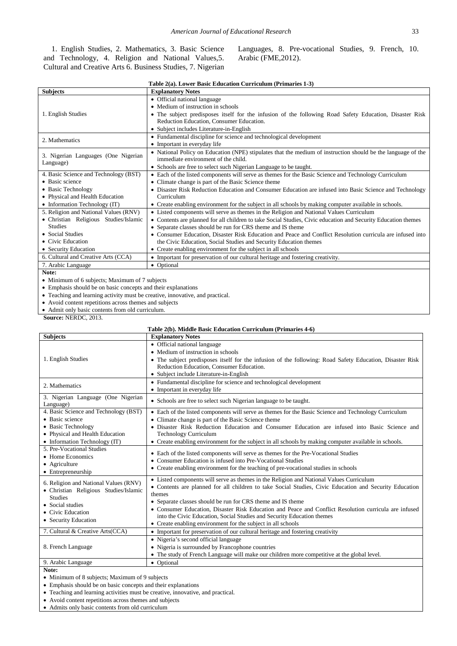1. English Studies, 2. Mathematics, 3. Basic Science and Technology, 4. Religion and National Values,5. Cultural and Creative Arts 6. Business Studies, 7. Nigerian Languages, 8. Pre-vocational Studies, 9. French, 10. Arabic (FME,2012).

| Table 2(a). Lower Basic Education Curriculum (Primaries 1-3) |  |
|--------------------------------------------------------------|--|
|--------------------------------------------------------------|--|

| <b>Subjects</b>                                               | <b>Explanatory Notes</b>                                                                                      |
|---------------------------------------------------------------|---------------------------------------------------------------------------------------------------------------|
|                                                               | • Official national language                                                                                  |
|                                                               | • Medium of instruction in schools                                                                            |
| 1. English Studies                                            | • The subject predisposes itself for the infusion of the following Road Safety Education, Disaster Risk       |
|                                                               | Reduction Education, Consumer Education.                                                                      |
|                                                               | • Subject includes Literature-in-English                                                                      |
| 2. Mathematics                                                | • Fundamental discipline for science and technological development                                            |
|                                                               | • Important in everyday life                                                                                  |
| 3. Nigerian Languages (One Nigerian                           | • National Policy on Education (NPE) stipulates that the medium of instruction should be the language of the  |
| Language)                                                     | immediate environment of the child.                                                                           |
|                                                               | • Schools are free to select such Nigerian Language to be taught.                                             |
| 4. Basic Science and Technology (BST)                         | • Each of the listed components will serve as themes for the Basic Science and Technology Curriculum          |
| • Basic science                                               | • Climate change is part of the Basic Science theme                                                           |
| • Basic Technology                                            | • Disaster Risk Reduction Education and Consumer Education are infused into Basic Science and Technology      |
| • Physical and Health Education                               | Curriculum                                                                                                    |
| $\bullet$ Information Technology (IT)                         | • Create enabling environment for the subject in all schools by making computer available in schools.         |
| 5. Religion and National Values (RNV)                         | • Listed components will serve as themes in the Religion and National Values Curriculum                       |
| • Christian Religious Studies/Islamic                         | • Contents are planned for all children to take Social Studies, Civic education and Security Education themes |
| <b>Studies</b>                                                | • Separate classes should be run for CRS theme and IS theme                                                   |
| • Social Studies                                              | • Consumer Education, Disaster Risk Education and Peace and Conflict Resolution curricula are infused into    |
| • Civic Education                                             | the Civic Education, Social Studies and Security Education themes                                             |
| • Security Education                                          | • Create enabling environment for the subject in all schools                                                  |
| 6. Cultural and Creative Arts (CCA)                           | • Important for preservation of our cultural heritage and fostering creativity.                               |
| 7. Arabic Language                                            | • Optional                                                                                                    |
| Note:                                                         |                                                                                                               |
| • Minimum of 6 subjects; Maximum of 7 subjects                |                                                                                                               |
| • Emphasis should be on basic concepts and their explanations |                                                                                                               |

• Teaching and learning activity must be creative, innovative, and practical.

• Avoid content repetitions across themes and subjects

• Admit only basic contents from old curriculum.

**Source:** NERDC, 2013.

# **Table 2(b). Middle Basic Education Curriculum (Primaries 4-6)**

| <b>Subjects</b>                                                                                                                                                   | <b>Explanatory Notes</b>                                                                                                                                                                                                                                                                                                                                                                                                                                                                                                      |
|-------------------------------------------------------------------------------------------------------------------------------------------------------------------|-------------------------------------------------------------------------------------------------------------------------------------------------------------------------------------------------------------------------------------------------------------------------------------------------------------------------------------------------------------------------------------------------------------------------------------------------------------------------------------------------------------------------------|
| 1. English Studies                                                                                                                                                | • Official national language<br>• Medium of instruction in schools<br>• The subject predisposes itself for the infusion of the following: Road Safety Education, Disaster Risk<br>Reduction Education, Consumer Education.<br>• Subject include Literature-in-English                                                                                                                                                                                                                                                         |
| 2. Mathematics                                                                                                                                                    | • Fundamental discipline for science and technological development<br>• Important in everyday life                                                                                                                                                                                                                                                                                                                                                                                                                            |
| 3. Nigerian Language (One Nigerian<br>Language)                                                                                                                   | • Schools are free to select such Nigerian language to be taught.                                                                                                                                                                                                                                                                                                                                                                                                                                                             |
| 4. Basic Science and Technology (BST)<br>• Basic science<br>• Basic Technology<br>• Physical and Health Education<br>$\bullet$ Information Technology (IT)        | • Each of the listed components will serve as the mes for the Basic Science and Technology Curriculum<br>• Climate change is part of the Basic Science theme<br>• Disaster Risk Reduction Education and Consumer Education are infused into Basic Science and<br><b>Technology Curriculum</b><br>• Create enabling environment for the subject in all schools by making computer available in schools.                                                                                                                        |
| 5. Pre-Vocational Studies<br>• Home Economics<br>• Agriculture<br>• Entrepreneurship                                                                              | • Each of the listed components will serve as themes for the Pre-Vocational Studies<br>• Consumer Education is infused into Pre-Vocational Studies<br>• Create enabling environment for the teaching of pre-vocational studies in schools                                                                                                                                                                                                                                                                                     |
| 6. Religion and National Values (RNV)<br>• Christian Religious Studies/Islamic<br><b>Studies</b><br>• Social studies<br>• Civic Education<br>• Security Education | • Listed components will serve as themes in the Religion and National Values Curriculum<br>• Contents are planned for all children to take Social Studies, Civic Education and Security Education<br>themes<br>• Separate classes should be run for CRS theme and IS theme<br>• Consumer Education, Disaster Risk Education and Peace and Conflict Resolution curricula are infused<br>into the Civic Education, Social Studies and Security Education themes<br>• Create enabling environment for the subject in all schools |
| 7. Cultural & Creative Arts(CCA)                                                                                                                                  | • Important for preservation of our cultural heritage and fostering creativity                                                                                                                                                                                                                                                                                                                                                                                                                                                |
| 8. French Language                                                                                                                                                | • Nigeria's second official language<br>• Nigeria is surrounded by Francophone countries<br>• The study of French Language will make our children more competitive at the global level.                                                                                                                                                                                                                                                                                                                                       |
| 9. Arabic Language                                                                                                                                                | • Optional                                                                                                                                                                                                                                                                                                                                                                                                                                                                                                                    |
|                                                                                                                                                                   |                                                                                                                                                                                                                                                                                                                                                                                                                                                                                                                               |

**Note:**

• Minimum of 8 subjects; Maximum of 9 subjects

• Emphasis should be on basic concepts and their explanations

• Teaching and learning activities must be creative, innovative, and practical.

• Avoid content repetitions across themes and subjects

• Admits only basic contents from old curriculum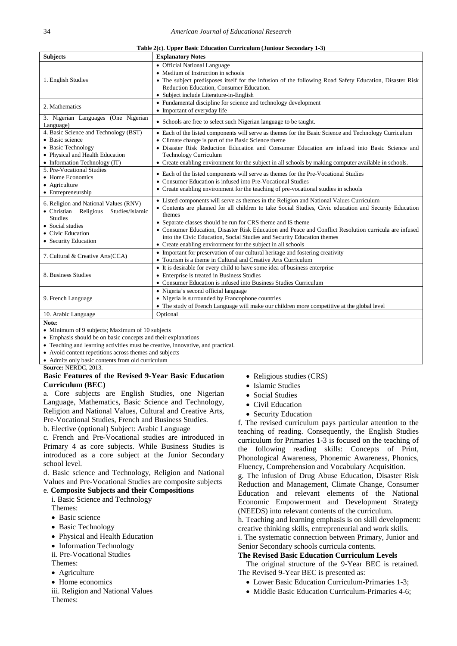| Table 2(c). Upper Basic Education Curriculum (Juniour Secondary 1-3) |  |  |  |  |  |
|----------------------------------------------------------------------|--|--|--|--|--|
|----------------------------------------------------------------------|--|--|--|--|--|

| <b>Subjects</b>                                                                                                                                                      | <b>Explanatory Notes</b>                                                                                                                                                                                                                                                                                                                                                                                                                                                                                                      |
|----------------------------------------------------------------------------------------------------------------------------------------------------------------------|-------------------------------------------------------------------------------------------------------------------------------------------------------------------------------------------------------------------------------------------------------------------------------------------------------------------------------------------------------------------------------------------------------------------------------------------------------------------------------------------------------------------------------|
| 1. English Studies                                                                                                                                                   | • Official National Language<br>• Medium of Instruction in schools<br>• The subject predisposes itself for the infusion of the following Road Safety Education, Disaster Risk<br>Reduction Education, Consumer Education.<br>• Subject include Literature-in-English                                                                                                                                                                                                                                                          |
| 2. Mathematics                                                                                                                                                       | • Fundamental discipline for science and technology development<br>• Important of everyday life                                                                                                                                                                                                                                                                                                                                                                                                                               |
| 3. Nigerian Languages (One Nigerian<br>Language)                                                                                                                     | • Schools are free to select such Nigerian language to be taught.                                                                                                                                                                                                                                                                                                                                                                                                                                                             |
| 4. Basic Science and Technology (BST)<br>• Basic science<br>• Basic Technology<br>• Physical and Health Education<br>• Information Technology (IT)                   | • Each of the listed components will serve as themes for the Basic Science and Technology Curriculum<br>• Climate change is part of the Basic Science theme<br>· Disaster Risk Reduction Education and Consumer Education are infused into Basic Science and<br><b>Technology Curriculum</b><br>• Create enabling environment for the subject in all schools by making computer available in schools.                                                                                                                         |
| 5. Pre-Vocational Studies<br>• Home Economics<br>• Agriculture<br>• Entrepreneurship                                                                                 | • Each of the listed components will serve as themes for the Pre-Vocational Studies<br>• Consumer Education is infused into Pre-Vocational Studies<br>• Create enabling environment for the teaching of pre-vocational studies in schools                                                                                                                                                                                                                                                                                     |
| 6. Religion and National Values (RNV)<br>· Christian Religious<br>Studies/Islamic<br><b>Studies</b><br>• Social studies<br>• Civic Education<br>• Security Education | • Listed components will serve as themes in the Religion and National Values Curriculum<br>• Contents are planned for all children to take Social Studies, Civic education and Security Education<br>themes<br>• Separate classes should be run for CRS theme and IS theme<br>• Consumer Education. Disaster Risk Education and Peace and Conflict Resolution curricula are infused<br>into the Civic Education, Social Studies and Security Education themes<br>• Create enabling environment for the subject in all schools |
| 7. Cultural & Creative Arts(CCA)                                                                                                                                     | • Important for preservation of our cultural heritage and fostering creativity<br>• Tourism is a theme in Cultural and Creative Arts Curriculum                                                                                                                                                                                                                                                                                                                                                                               |
| 8. Business Studies                                                                                                                                                  | • It is desirable for every child to have some idea of business enterprise<br>• Enterprise is treated in Business Studies<br>• Consumer Education is infused into Business Studies Curriculum                                                                                                                                                                                                                                                                                                                                 |
| 9. French Language                                                                                                                                                   | • Nigeria's second official language<br>• Nigeria is surrounded by Francophone countries<br>• The study of French Language will make our children more competitive at the global level                                                                                                                                                                                                                                                                                                                                        |
| 10. Arabic Language                                                                                                                                                  | Optional                                                                                                                                                                                                                                                                                                                                                                                                                                                                                                                      |

**Note:**

- Minimum of 9 subjects; Maximum of 10 subjects
- Emphasis should be on basic concepts and their explanations
- Teaching and learning activities must be creative, innovative, and practical.
- Avoid content repetitions across themes and subjects
- Admits only basic contents from old curriculum

**Source:** NERDC, 2013.

#### **Basic Features of the Revised 9-Year Basic Education Curriculum (BEC)**

a. Core subjects are English Studies, one Nigerian Language, Mathematics, Basic Science and Technology, Religion and National Values, Cultural and Creative Arts, Pre-Vocational Studies, French and Business Studies.

b. Elective (optional) Subject: Arabic Language

c. French and Pre-Vocational studies are introduced in Primary 4 as core subjects. While Business Studies is introduced as a core subject at the Junior Secondary school level.

d. Basic science and Technology, Religion and National Values and Pre-Vocational Studies are composite subjects

#### e. **Composite Subjects and their Compositions**

i. Basic Science and Technology Themes:

- 
- Basic science
- Basic Technology
- Physical and Health Education
- Information Technology
- ii. Pre-Vocational Studies
- Themes:
- Agriculture
- Home economics
- iii. Religion and National Values Themes:
- Religious studies (CRS)
- Islamic Studies
- Social Studies
- Civil Education
- Security Education

f. The revised curriculum pays particular attention to the teaching of reading. Consequently, the English Studies curriculum for Primaries 1-3 is focused on the teaching of the following reading skills: Concepts of Print, Phonological Awareness, Phonemic Awareness, Phonics, Fluency, Comprehension and Vocabulary Acquisition.

g. The infusion of Drug Abuse Education, Disaster Risk Reduction and Management, Climate Change, Consumer Education and relevant elements of the National Economic Empowerment and Development Strategy (NEEDS) into relevant contents of the curriculum.

h. Teaching and learning emphasis is on skill development: creative thinking skills, entrepreneurial and work skills.

i. The systematic connection between Primary, Junior and Senior Secondary schools curricula contents.

#### **The Revised Basic Education Curriculum Levels**

The original structure of the 9-Year BEC is retained. The Revised 9-Year BEC is presented as:

- Lower Basic Education Curriculum-Primaries 1-3;
- Middle Basic Education Curriculum-Primaries 4-6;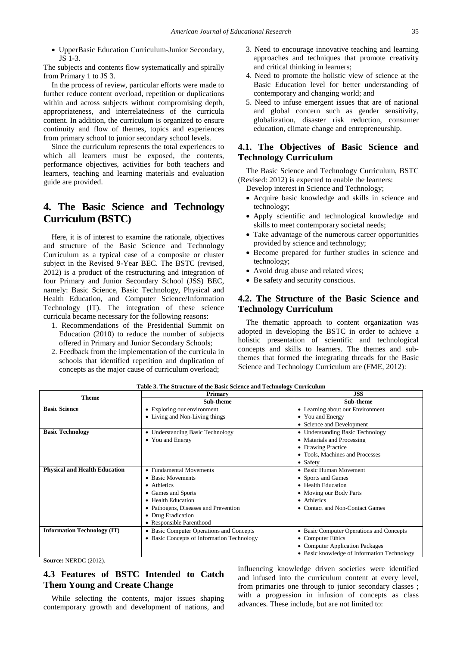• UpperBasic Education Curriculum-Junior Secondary, JS 1-3.

The subjects and contents flow systematically and spirally from Primary 1 to JS 3.

In the process of review, particular efforts were made to further reduce content overload, repetition or duplications within and across subjects without compromising depth, appropriateness, and interrelatedness of the curricula content. In addition, the curriculum is organized to ensure continuity and flow of themes, topics and experiences from primary school to junior secondary school levels.

Since the curriculum represents the total experiences to which all learners must be exposed, the contents, performance objectives, activities for both teachers and learners, teaching and learning materials and evaluation guide are provided.

# **4. The Basic Science and Technology Curriculum (BSTC)**

Here, it is of interest to examine the rationale, objectives and structure of the Basic Science and Technology Curriculum as a typical case of a composite or cluster subject in the Revised 9-Year BEC. The BSTC (revised, 2012) is a product of the restructuring and integration of four Primary and Junior Secondary School (JSS) BEC, namely: Basic Science, Basic Technology, Physical and Health Education, and Computer Science/Information Technology (IT). The integration of these science curricula became necessary for the following reasons:

- 1. Recommendations of the Presidential Summit on Education (2010) to reduce the number of subjects offered in Primary and Junior Secondary Schools;
- 2. Feedback from the implementation of the curricula in schools that identified repetition and duplication of concepts as the major cause of curriculum overload;
- 3. Need to encourage innovative teaching and learning approaches and techniques that promote creativity and critical thinking in learners;
- 4. Need to promote the holistic view of science at the Basic Education level for better understanding of contemporary and changing world; and
- 5. Need to infuse emergent issues that are of national and global concern such as gender sensitivity, globalization, disaster risk reduction, consumer education, climate change and entrepreneurship.

### **4.1. The Objectives of Basic Science and Technology Curriculum**

The Basic Science and Technology Curriculum, BSTC (Revised: 2012) is expected to enable the learners:

Develop interest in Science and Technology;

- Acquire basic knowledge and skills in science and technology;
- Apply scientific and technological knowledge and skills to meet contemporary societal needs;
- Take advantage of the numerous career opportunities provided by science and technology;
- Become prepared for further studies in science and technology;
- Avoid drug abuse and related vices;
- Be safety and security conscious.

## **4.2. The Structure of the Basic Science and Technology Curriculum**

The thematic approach to content organization was adopted in developing the BSTC in order to achieve a holistic presentation of scientific and technological concepts and skills to learners. The themes and subthemes that formed the integrating threads for the Basic Science and Technology Curriculum are (FME, 2012):

| <b>Theme</b>                         | Primary                                    | JSS                                         |
|--------------------------------------|--------------------------------------------|---------------------------------------------|
|                                      | Sub-theme                                  | Sub-theme                                   |
| <b>Basic Science</b>                 | • Exploring our environment                | • Learning about our Environment            |
|                                      | • Living and Non-Living things             | • You and Energy                            |
|                                      |                                            | • Science and Development                   |
| <b>Basic Technology</b>              | • Understanding Basic Technology           | • Understanding Basic Technology            |
|                                      | • You and Energy                           | • Materials and Processing                  |
|                                      |                                            | • Drawing Practice                          |
|                                      |                                            | • Tools, Machines and Processes             |
|                                      |                                            | • Safety                                    |
| <b>Physical and Health Education</b> | • Fundamental Movements                    | • Basic Human Movement                      |
|                                      | • Basic Movements                          | • Sports and Games                          |
|                                      | • Athletics                                | • Health Education                          |
|                                      | • Games and Sports                         | • Moving our Body Parts                     |
|                                      | • Health Education                         | • Athletics                                 |
|                                      | • Pathogens, Diseases and Prevention       | • Contact and Non-Contact Games             |
|                                      | • Drug Eradication                         |                                             |
|                                      | • Responsible Parenthood                   |                                             |
| <b>Information Technology (IT)</b>   | • Basic Computer Operations and Concepts   | • Basic Computer Operations and Concepts    |
|                                      | • Basic Concepts of Information Technology | • Computer Ethics                           |
|                                      |                                            | • Computer Application Packages             |
|                                      |                                            | • Basic knowledge of Information Technology |
| $C_{\text{source}}$ , MEDDC (2012)   |                                            |                                             |

**Table 3. The Structure of the Basic Science and Technology Curriculum**

**Source:** NERDC (2012).

## **4.3 Features of BSTC Intended to Catch Them Young and Create Change**

While selecting the contents, major issues shaping contemporary growth and development of nations, and influencing knowledge driven societies were identified and infused into the curriculum content at every level, from primaries one through to junior secondary classes ; with a progression in infusion of concepts as class advances. These include, but are not limited to: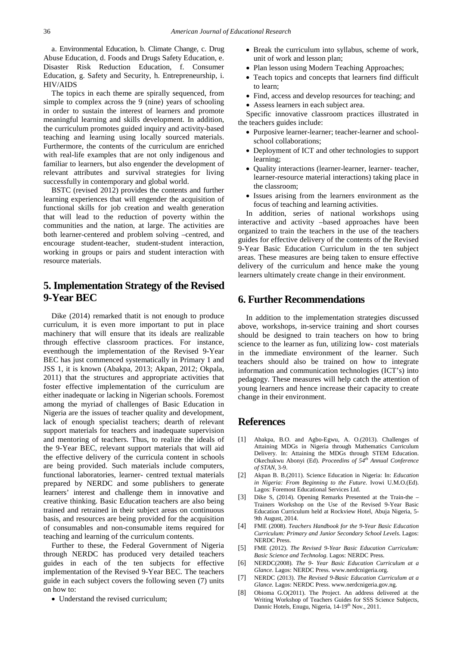a. Environmental Education, b. Climate Change, c. Drug Abuse Education, d. Foods and Drugs Safety Education, e. Disaster Risk Reduction Education, f. Consumer Education, g. Safety and Security, h. Entrepreneurship, i. HIV/AIDS

The topics in each theme are spirally sequenced, from simple to complex across the 9 (nine) years of schooling in order to sustain the interest of learners and promote meaningful learning and skills development. In addition, the curriculum promotes guided inquiry and activity-based teaching and learning using locally sourced materials. Furthermore, the contents of the curriculum are enriched with real-life examples that are not only indigenous and familiar to learners, but also engender the development of relevant attributes and survival strategies for living successfully in contemporary and global world.

BSTC (revised 2012) provides the contents and further learning experiences that will engender the acquisition of functional skills for job creation and wealth generation that will lead to the reduction of poverty within the communities and the nation, at large. The activities are both learner-centered and problem solving –centred, and encourage student-teacher, student-student interaction, working in groups or pairs and student interaction with resource materials.

## **5.Implementation Strategy of the Revised 9-Year BEC**

Dike (2014) remarked thatit is not enough to produce curriculum, it is even more important to put in place machinery that will ensure that its ideals are realizable through effective classroom practices. For instance, eventhough the implementation of the Revised 9-Year BEC has just commenced systematically in Primary 1 and JSS 1, it is known (Abakpa, 2013; Akpan, 2012; Okpala, 2011) that the structures and appropriate activities that foster effective implementation of the curriculum are either inadequate or lacking in Nigerian schools. Foremost among the myriad of challenges of Basic Education in Nigeria are the issues of teacher quality and development, lack of enough specialist teachers; dearth of relevant support materials for teachers and inadequate supervision and mentoring of teachers. Thus, to realize the ideals of the 9-Year BEC, relevant support materials that will aid the effective delivery of the curricula content in schools are being provided. Such materials include computers, functional laboratories, learner- centred textual materials prepared by NERDC and some publishers to generate learners' interest and challenge them in innovative and creative thinking. Basic Education teachers are also being trained and retrained in their subject areas on continuous basis, and resources are being provided for the acquisition of consumables and non-consumable items required for teaching and learning of the curriculum contents.

Further to these, the Federal Government of Nigeria through NERDC has produced very detailed teachers guides in each of the ten subjects for effective implementation of the Revised 9-Year BEC. The teachers guide in each subject covers the following seven (7) units on how to:

• Understand the revised curriculum;

- Break the curriculum into syllabus, scheme of work, unit of work and lesson plan;
- Plan lesson using Modern Teaching Approaches;
- Teach topics and concepts that learners find difficult to learn;
- Find, access and develop resources for teaching; and
- Assess learners in each subject area.

Specific innovative classroom practices illustrated in the teachers guides include:

- Purposive learner-learner; teacher-learner and schoolschool collaborations;
- Deployment of ICT and other technologies to support learning;
- Quality interactions (learner-learner, learner- teacher, learner-resource material interactions) taking place in the classroom;
- Issues arising from the learners environment as the focus of teaching and learning activities.

In addition, series of national workshops using interactive and activity –based approaches have been organized to train the teachers in the use of the teachers guides for effective delivery of the contents of the Revised 9-Year Basic Education Curriculum in the ten subject areas. These measures are being taken to ensure effective delivery of the curriculum and hence make the young learners ultimately create change in their environment.

## **6. Further Recommendations**

In addition to the implementation strategies discussed above, workshops, in-service training and short courses should be designed to train teachers on how to bring science to the learner as fun, utilizing low- cost materials in the immediate environment of the learner. Such teachers should also be trained on how to integrate information and communication technologies (ICT's) into pedagogy. These measures will help catch the attention of young learners and hence increase their capacity to create change in their environment.

## **References**

- [1] Abakpa, B.O. and Agbo-Egwu, A. O.(2013). Challenges of Attaining MDGs in Nigeria through Mathematics Curriculum Delivery. In: Attaining the MDGs through STEM Education. Okechukwu Abonyi (Ed). *Proceedins of 54th Annual Conference of STAN,* 3-9.
- [2] Akpan B. B.(2011). Science Education in Nigeria: In: *Education in Nigeria: From Beginning to the Future*. Ivowi U.M.O.(Ed). Lagos: Foremost Educational Services Ltd.
- Dike S, (2014). Opening Remarks Presented at the Train-the Trainers Workshop on the Use of the Revised 9-Year Basic Education Curriculum held at Rockview Hotel, Abuja Nigeria, 5- 9th August, 2014.
- [4] FME (2008). *Teachers Handbook for the 9-Year Basic Education Curriculum: Primary and Junior Secondary School Levels*. Lagos: NERDC Press.
- [5] FME (2012). *The Revised 9-Year Basic Education Curriculum: Basic Science and Technolog.* Lagos: NERDC Press.
- [6] NERDC(2008). *The 9- Year Basic Education Curriculum at a Glance*. Lagos: NERDC Press. www.nerdcnigeria.org.
- [7] NERDC (2013). *The Revised 9-Basic Education Curriculum at a Glance.* Lagos: NERDC Press. www.nerdcnigeria.gov.ng.
- [8] Obioma G.O(2011). The Project. An address delivered at the Writing Workshop of Teachers Guides for SSS Science Subjects, Dannic Hotels, Enugu, Nigeria, 14-19<sup>th</sup> Nov., 2011.